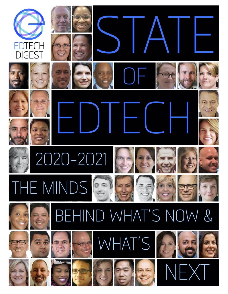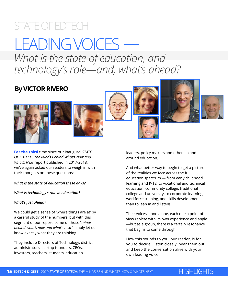## STATE OF EDTECH

# LEADING VOICES *What is the state of education, and technology's role—and, what's ahead?*

## **By VICTOR RIVERO**













**For the third** time since our inaugural *STATE OF EDTECH: The Minds Behind What's Now and What's Next* report published in 2017-2018, we've again asked our readers to weigh in with their thoughts on these questions:

#### *What is the state of education these days?*

*What is technology's role in education?*

### *What's just ahead?*

We could get a sense of 'where things are at' by a careful study of the numbers, but with this segment of our report, some of those "*minds behind what's now and what's next"* simply let us know exactly what they are thinking.

They include Directors of Technology, district administrators, startup founders, CEOs, investors, teachers, students, education

leaders, policy makers and others in and around education.

And what better way to begin to get a picture of the realities we face across the full education spectrum — from early childhood learning and K-12, to vocational and technical education, community college, traditional college and university, to corporate learning, workforce training, and skills development than to lean in and listen!

Their voices stand alone, each one a point of view replete with its own experience and angle —but as a group, there is a certain resonance that begins to come through.

How this sounds to you, our reader, is for you to decide. Listen closely, hear them out, and keep the conversation alive with your own leading voice!